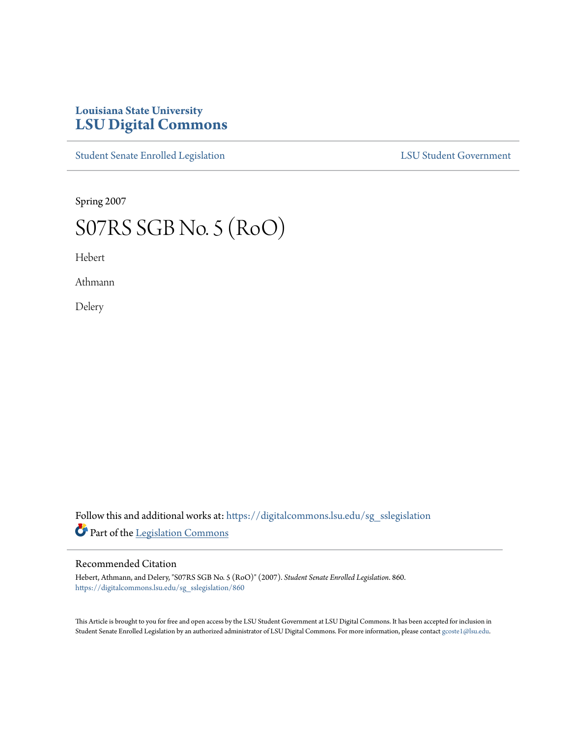## **Louisiana State University [LSU Digital Commons](https://digitalcommons.lsu.edu?utm_source=digitalcommons.lsu.edu%2Fsg_sslegislation%2F860&utm_medium=PDF&utm_campaign=PDFCoverPages)**

[Student Senate Enrolled Legislation](https://digitalcommons.lsu.edu/sg_sslegislation?utm_source=digitalcommons.lsu.edu%2Fsg_sslegislation%2F860&utm_medium=PDF&utm_campaign=PDFCoverPages) [LSU Student Government](https://digitalcommons.lsu.edu/sg?utm_source=digitalcommons.lsu.edu%2Fsg_sslegislation%2F860&utm_medium=PDF&utm_campaign=PDFCoverPages)

Spring 2007

## S07RS SGB No. 5 (RoO)

Hebert

Athmann

Delery

Follow this and additional works at: [https://digitalcommons.lsu.edu/sg\\_sslegislation](https://digitalcommons.lsu.edu/sg_sslegislation?utm_source=digitalcommons.lsu.edu%2Fsg_sslegislation%2F860&utm_medium=PDF&utm_campaign=PDFCoverPages) Part of the [Legislation Commons](http://network.bepress.com/hgg/discipline/859?utm_source=digitalcommons.lsu.edu%2Fsg_sslegislation%2F860&utm_medium=PDF&utm_campaign=PDFCoverPages)

## Recommended Citation

Hebert, Athmann, and Delery, "S07RS SGB No. 5 (RoO)" (2007). *Student Senate Enrolled Legislation*. 860. [https://digitalcommons.lsu.edu/sg\\_sslegislation/860](https://digitalcommons.lsu.edu/sg_sslegislation/860?utm_source=digitalcommons.lsu.edu%2Fsg_sslegislation%2F860&utm_medium=PDF&utm_campaign=PDFCoverPages)

This Article is brought to you for free and open access by the LSU Student Government at LSU Digital Commons. It has been accepted for inclusion in Student Senate Enrolled Legislation by an authorized administrator of LSU Digital Commons. For more information, please contact [gcoste1@lsu.edu.](mailto:gcoste1@lsu.edu)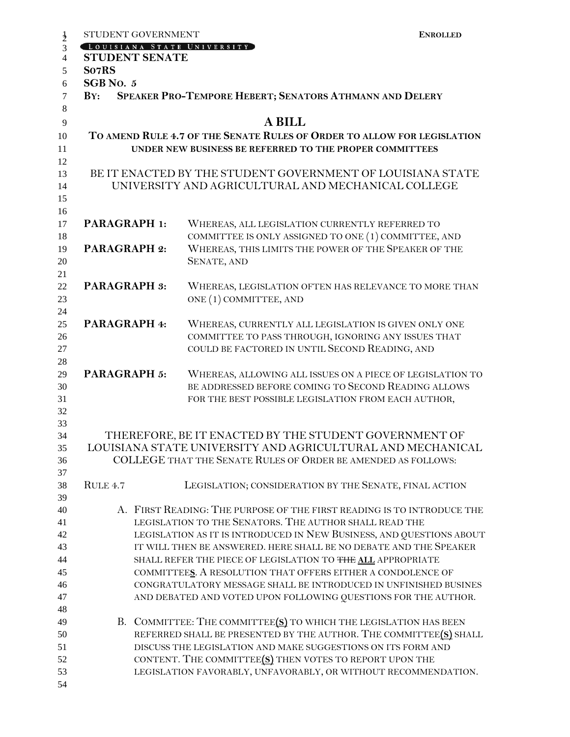| $\frac{1}{2}$  | STUDENT GOVERNMENT                                                      |  |                                                                                                                                       | <b>ENROLLED</b> |  |
|----------------|-------------------------------------------------------------------------|--|---------------------------------------------------------------------------------------------------------------------------------------|-----------------|--|
| 3              |                                                                         |  | LOUISIANA STATE UNIVERSITY                                                                                                            |                 |  |
| $\overline{4}$ | <b>STUDENT SENATE</b>                                                   |  |                                                                                                                                       |                 |  |
| 5              | So7RS                                                                   |  |                                                                                                                                       |                 |  |
| 6              | SGB No. 5                                                               |  |                                                                                                                                       |                 |  |
| $\overline{7}$ | BY:                                                                     |  | SPEAKER PRO-TEMPORE HEBERT; SENATORS ATHMANN AND DELERY                                                                               |                 |  |
| 8              |                                                                         |  |                                                                                                                                       |                 |  |
| 9              |                                                                         |  | <b>A BILL</b>                                                                                                                         |                 |  |
| 10             | TO AMEND RULE 4.7 OF THE SENATE RULES OF ORDER TO ALLOW FOR LEGISLATION |  |                                                                                                                                       |                 |  |
| 11             |                                                                         |  | UNDER NEW BUSINESS BE REFERRED TO THE PROPER COMMITTEES                                                                               |                 |  |
| 12             |                                                                         |  |                                                                                                                                       |                 |  |
| 13             |                                                                         |  | BE IT ENACTED BY THE STUDENT GOVERNMENT OF LOUISIANA STATE                                                                            |                 |  |
| 14             |                                                                         |  | UNIVERSITY AND AGRICULTURAL AND MECHANICAL COLLEGE                                                                                    |                 |  |
| 15             |                                                                         |  |                                                                                                                                       |                 |  |
| 16             |                                                                         |  |                                                                                                                                       |                 |  |
| 17             | PARAGRAPH 1:                                                            |  | WHEREAS, ALL LEGISLATION CURRENTLY REFERRED TO                                                                                        |                 |  |
| 18             |                                                                         |  | COMMITTEE IS ONLY ASSIGNED TO ONE (1) COMMITTEE, AND                                                                                  |                 |  |
| 19             | <b>PARAGRAPH 2:</b>                                                     |  | WHEREAS, THIS LIMITS THE POWER OF THE SPEAKER OF THE                                                                                  |                 |  |
| 20             |                                                                         |  | <b>SENATE, AND</b>                                                                                                                    |                 |  |
| 21             |                                                                         |  |                                                                                                                                       |                 |  |
| 22             | <b>PARAGRAPH 3:</b>                                                     |  | WHEREAS, LEGISLATION OFTEN HAS RELEVANCE TO MORE THAN                                                                                 |                 |  |
| 23             |                                                                         |  | ONE (1) COMMITTEE, AND                                                                                                                |                 |  |
| 24<br>25       | PARAGRAPH 4:                                                            |  | WHEREAS, CURRENTLY ALL LEGISLATION IS GIVEN ONLY ONE                                                                                  |                 |  |
| 26             |                                                                         |  | COMMITTEE TO PASS THROUGH, IGNORING ANY ISSUES THAT                                                                                   |                 |  |
| 27             |                                                                         |  | COULD BE FACTORED IN UNTIL SECOND READING, AND                                                                                        |                 |  |
| 28             |                                                                         |  |                                                                                                                                       |                 |  |
| 29             | <b>PARAGRAPH 5:</b>                                                     |  | WHEREAS, ALLOWING ALL ISSUES ON A PIECE OF LEGISLATION TO                                                                             |                 |  |
| 30             |                                                                         |  | BE ADDRESSED BEFORE COMING TO SECOND READING ALLOWS                                                                                   |                 |  |
| 31             |                                                                         |  | FOR THE BEST POSSIBLE LEGISLATION FROM EACH AUTHOR,                                                                                   |                 |  |
| 32             |                                                                         |  |                                                                                                                                       |                 |  |
| 33             |                                                                         |  |                                                                                                                                       |                 |  |
| 34             |                                                                         |  | THEREFORE, BE IT ENACTED BY THE STUDENT GOVERNMENT OF                                                                                 |                 |  |
| $35\,$         |                                                                         |  | LOUISIANA STATE UNIVERSITY AND AGRICULTURAL AND MECHANICAL                                                                            |                 |  |
| 36             |                                                                         |  | COLLEGE THAT THE SENATE RULES OF ORDER BE AMENDED AS FOLLOWS:                                                                         |                 |  |
| 37             |                                                                         |  |                                                                                                                                       |                 |  |
| 38             | RULE 4.7                                                                |  | LEGISLATION; CONSIDERATION BY THE SENATE, FINAL ACTION                                                                                |                 |  |
| 39             |                                                                         |  |                                                                                                                                       |                 |  |
| 40             |                                                                         |  | A. FIRST READING: THE PURPOSE OF THE FIRST READING IS TO INTRODUCE THE                                                                |                 |  |
| 41             |                                                                         |  | LEGISLATION TO THE SENATORS. THE AUTHOR SHALL READ THE                                                                                |                 |  |
| 42             |                                                                         |  | LEGISLATION AS IT IS INTRODUCED IN NEW BUSINESS, AND QUESTIONS ABOUT                                                                  |                 |  |
| 43             |                                                                         |  | IT WILL THEN BE ANSWERED. HERE SHALL BE NO DEBATE AND THE SPEAKER                                                                     |                 |  |
| 44             |                                                                         |  | SHALL REFER THE PIECE OF LEGISLATION TO THE ALL APPROPRIATE                                                                           |                 |  |
| 45             |                                                                         |  | COMMITTEES. A RESOLUTION THAT OFFERS EITHER A CONDOLENCE OF                                                                           |                 |  |
| 46             |                                                                         |  | CONGRATULATORY MESSAGE SHALL BE INTRODUCED IN UNFINISHED BUSINES                                                                      |                 |  |
| 47             |                                                                         |  | AND DEBATED AND VOTED UPON FOLLOWING QUESTIONS FOR THE AUTHOR.                                                                        |                 |  |
| 48             |                                                                         |  |                                                                                                                                       |                 |  |
| 49<br>50       |                                                                         |  | B. COMMITTEE: THE COMMITTEE(S) TO WHICH THE LEGISLATION HAS BEEN<br>REFERRED SHALL BE PRESENTED BY THE AUTHOR. THE COMMITTEE(S) SHALL |                 |  |
| 51             |                                                                         |  | DISCUSS THE LEGISLATION AND MAKE SUGGESTIONS ON ITS FORM AND                                                                          |                 |  |
| 52             |                                                                         |  | CONTENT. THE COMMITTEE(S) THEN VOTES TO REPORT UPON THE                                                                               |                 |  |
| 53             |                                                                         |  | LEGISLATION FAVORABLY, UNFAVORABLY, OR WITHOUT RECOMMENDATION.                                                                        |                 |  |
| 54             |                                                                         |  |                                                                                                                                       |                 |  |
|                |                                                                         |  |                                                                                                                                       |                 |  |